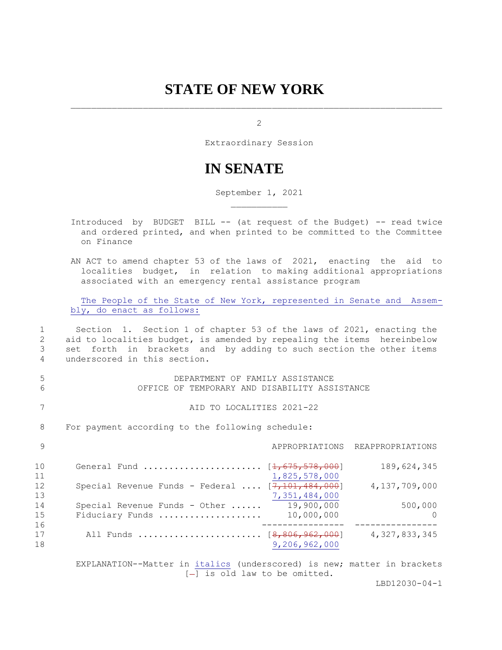## **STATE OF NEW YORK**

2

Extraordinary Session

## **IN SENATE**

September 1, 2021

- Introduced by BUDGET BILL -- (at request of the Budget) -- read twice and ordered printed, and when printed to be committed to the Committee on Finance
- AN ACT to amend chapter 53 of the laws of 2021, enacting the aid to localities budget, in relation to making additional appropriations associated with an emergency rental assistance program

The People of the State of New York, represented in Senate and Assembly, do enact as follows:

 1 Section 1. Section 1 of chapter 53 of the laws of 2021, enacting the 2 aid to localities budget, is amended by repealing the items hereinbelow 3 set forth in brackets and by adding to such section the other items 4 underscored in this section.

 5 DEPARTMENT OF FAMILY ASSISTANCE 6 OFFICE OF TEMPORARY AND DISABILITY ASSISTANCE

7 AID TO LOCALITIES 2021-22

8 For payment according to the following schedule:

| - 9            |                                                   |                          | APPROPRIATIONS REAPPROPRIATIONS |
|----------------|---------------------------------------------------|--------------------------|---------------------------------|
| 10<br>11       | General Fund  [ <del>1,675,578,000</del> ]        | 1,825,578,000            | 189,624,345                     |
| 12<br>13       | Special Revenue Funds - Federal $[7,101,484,000]$ | 7,351,484,000            | 4,137,709,000                   |
| 14<br>15       | Special Revenue Funds - Other<br>Fiduciary Funds  | 19,900,000<br>10,000,000 | 500,000<br>$\bigcap$            |
| 16<br>17<br>18 | All Funds  [ <del>8,806,962,000</del> ]           | 9,206,962,000            | 4, 327, 833, 345                |

 EXPLANATION--Matter in italics (underscored) is new; matter in brackets  $[-]$  is old law to be omitted.

LBD12030-04-1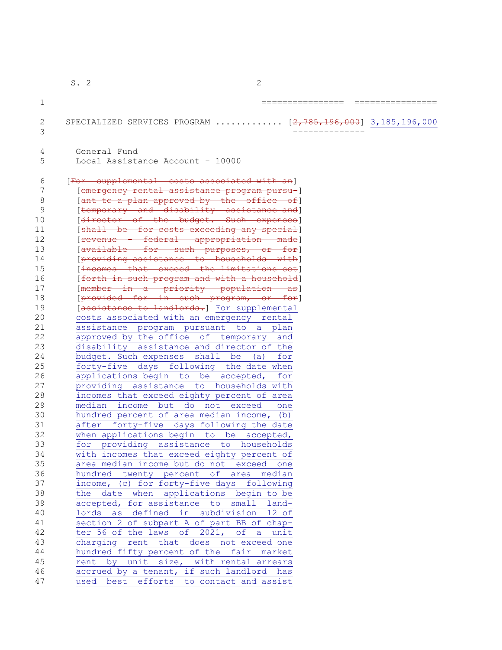S. 2 2  $1$ 2 SPECIALIZED SERVICES PROGRAM ............ [2,785,196,000] 3,185,196,000 3 -------------- 4 General Fund 5 Local Assistance Account - 10000 6 [For supplemental costs associated with an] 7 [emergency rental assistance program pursu-] 8 [ant to a plan approved by the office of] 9 **I** [temporary and disability assistance and] 10 [director of the budget. Such expenses] 11 [shall be for costs exceeding any special] 12 [revenue - federal appropriation made] 13 [available for such purposes, or for] 14 [providing assistance to households with] 15 [incomes that exceed the limitations set] 16 [forth in such program and with a household] 17 [member in a priority population as] 18 [provided for in such program, or for] 19 [assistance to landlords.] For supplemental 20 costs associated with an emergency rental 21 assistance program pursuant to a plan 22 approved by the office of temporary and 23 disability assistance and director of the 24 budget. Such expenses shall be (a) for 25 forty-five days following the date when<br>26 applications begin to be accepted, for 26 applications begin to be accepted, for 27 providing assistance to households with 28 incomes that exceed eighty percent of area 29 median income but do not exceed one 30 hundred percent of area median income, (b) 31 after forty-five days following the date 32 when applications begin to be accepted, 33 for providing assistance to households 34 with incomes that exceed eighty percent of 35 area median income but do not exceed one 36 hundred twenty percent of area median 37 income, (c) for forty-five days following 38 the date when applications begin to be 39 accepted, for assistance to small land-40 lords as defined in subdivision 12 of 41 section 2 of subpart A of part BB of chap-42 ter 56 of the laws of 2021, of a unit 43 charging rent that does not exceed one 44 hundred fifty percent of the fair market 45 rent by unit size, with rental arrears 46 accrued by a tenant, if such landlord has 47 used best efforts to contact and assist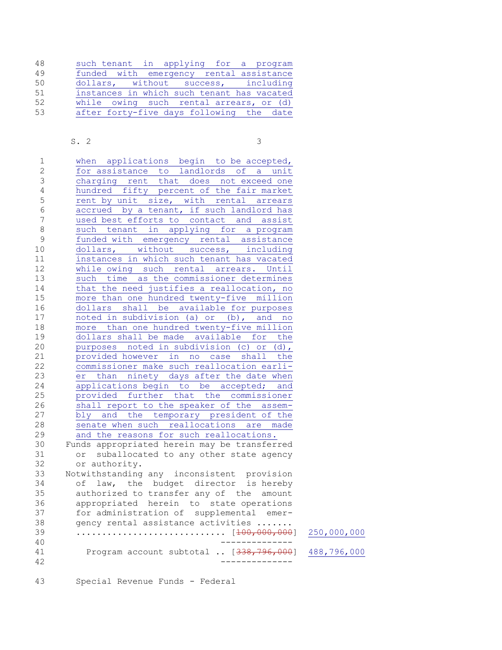| 48 |  |  |  | such tenant in applying for a program      |  |  |
|----|--|--|--|--------------------------------------------|--|--|
| 49 |  |  |  | funded with emergency rental assistance    |  |  |
| 50 |  |  |  | dollars, without success, including        |  |  |
| 51 |  |  |  | instances in which such tenant has vacated |  |  |
| 52 |  |  |  | while owing such rental arrears, or (d)    |  |  |
| 53 |  |  |  | after forty-five days following the date   |  |  |

## S. 2 3

| 1              | when applications begin to be accepted,                |             |
|----------------|--------------------------------------------------------|-------------|
| $\overline{2}$ | for assistance to landlords of<br>unit<br>$\mathsf{a}$ |             |
| 3              | charging rent that does not exceed one                 |             |
| 4              | hundred fifty percent of the fair market               |             |
| 5              | rent by unit size, with rental arrears                 |             |
| $\sqrt{6}$     | accrued by a tenant, if such landlord has              |             |
| $\overline{7}$ | used best efforts to contact and assist                |             |
| $\,8\,$        | such tenant in applying for a program                  |             |
| $\mathcal{G}$  | funded with emergency rental assistance                |             |
| 10             | dollars, without success, including                    |             |
| 11             | instances in which such tenant has vacated             |             |
| 12             | while owing such rental arrears. Until                 |             |
| 13             | such time as the commissioner determines               |             |
| 14             | that the need justifies a reallocation, no             |             |
| 15             | more than one hundred twenty-five million              |             |
| 16             | dollars shall be available for purposes                |             |
| 17             | noted in subdivision (a) or (b), and<br>no             |             |
| 18             | more than one hundred twenty-five million              |             |
| 19             | dollars shall be made available for the                |             |
| 20             | purposes noted in subdivision (c) or<br>$(d)$ ,        |             |
| 21             | provided however in no case shall the                  |             |
| 22             | commissioner make such reallocation earli-             |             |
| 23             | than ninety days after the date when<br>er             |             |
| 24             | applications begin to be accepted; and                 |             |
| 25             | provided further that the commissioner                 |             |
| 26             | shall report to the speaker of the assem-              |             |
| 27             | bly and the temporary president of the                 |             |
| 28             | senate when such reallocations are made                |             |
| 29             | and the reasons for such reallocations.                |             |
| 30             | Funds appropriated herein may be transferred           |             |
| 31             | or suballocated to any other state agency              |             |
| 32             | or authority.                                          |             |
| 33             | Notwithstanding any inconsistent provision             |             |
| 34             | law, the budget director is hereby<br>of               |             |
| 35             | authorized to transfer any of the amount               |             |
| 36             | appropriated herein to state operations                |             |
| 37             | for administration of supplemental emer-               |             |
| 38             | gency rental assistance activities                     |             |
| 39             |                                                        | 250,000,000 |
| 40             |                                                        |             |
| 41             | Program account subtotal  [338,                        | 488,796,000 |
| 42             |                                                        |             |
|                |                                                        |             |

43 Special Revenue Funds - Federal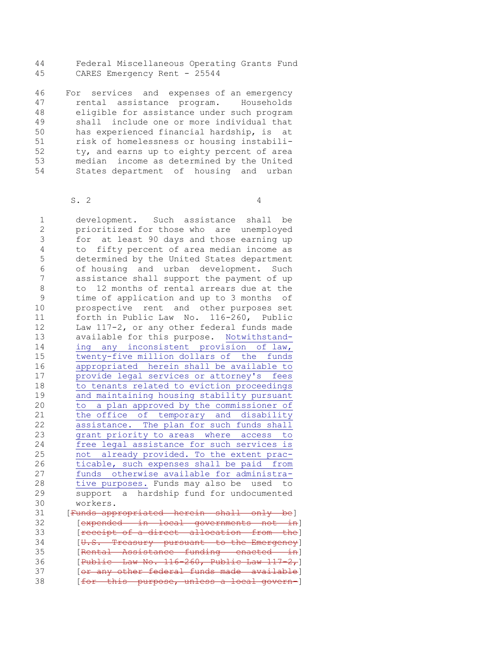44 Federal Miscellaneous Operating Grants Fund 45 CARES Emergency Rent - 25544

46 For services and expenses of an emergency 47 rental assistance program. Households 48 eligible for assistance under such program 49 shall include one or more individual that 50 has experienced financial hardship, is at 51 risk of homelessness or housing instabili-52 ty, and earns up to eighty percent of area 53 median income as determined by the United 54 States department of housing and urban

 $S. 2$ 

 1 development. Such assistance shall be 2 prioritized for those who are unemployed 3 for at least 90 days and those earning up 4 to fifty percent of area median income as 5 determined by the United States department 6 of housing and urban development. Such 7 assistance shall support the payment of up 8 to 12 months of rental arrears due at the 9 time of application and up to 3 months of 10 prospective rent and other purposes set 11 forth in Public Law No. 116-260, Public 12 Law 117-2, or any other federal funds made 13 available for this purpose. Notwithstand-14 ing any inconsistent provision of law, 15 twenty-five million dollars of the funds 16 appropriated herein shall be available to 17 provide legal services or attorney's fees 18 to tenants related to eviction proceedings 19 and maintaining housing stability pursuant 20 to a plan approved by the commissioner of 21 the office of temporary and disability 22 assistance. The plan for such funds shall 23 grant priority to areas where access to 24 free legal assistance for such services is 25 not already provided. To the extent prac-26 ticable, such expenses shall be paid from 27 funds otherwise available for administra-28 tive purposes. Funds may also be used to 29 support a hardship fund for undocumented 30 workers. 31 [Funds appropriated herein shall only be] 32 **[expended in local governments not in]** 33 [receipt of a direct allocation from the] 34 [U.S. Treasury pursuant to the Emergency] 35 [Rental Assistance funding enacted in] 36 [Public Law No. 116-260, Public Law 117-2,] 37 [or any other federal funds made available] 38 [for this purpose, unless a local govern-]